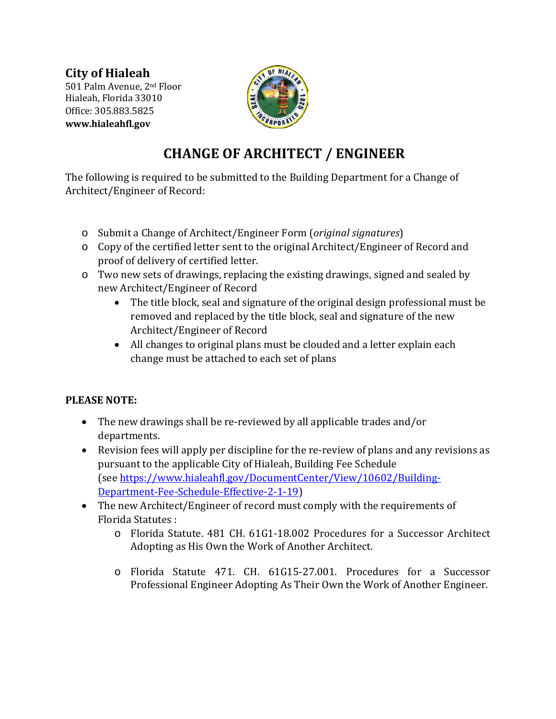**City of Hialeah** 501 Palm Avenue, 2nd Floor Hialeah, Florida 33010 Office: 305.883.5825 **www.hialeahfl.gov** 



## **CHANGE OF ARCHITECT / ENGINEER**

The following is required to be submitted to the Building Department for a Change of Architect/Engineer of Record:

- o Submit a Change of Architect/Engineer Form (*original signatures*)
- o Copy of the certified letter sent to the original Architect/Engineer of Record and proof of delivery of certified letter.
- o Two new sets of drawings, replacing the existing drawings, signed and sealed by new Architect/Engineer of Record
	- The title block, seal and signature of the original design professional must be removed and replaced by the title block, seal and signature of the new Architect/Engineer of Record
	- All changes to original plans must be clouded and a letter explain each change must be attached to each set of plans

## **PLEASE NOTE:**

- The new drawings shall be re-reviewed by all applicable trades and/or departments.
- Revision fees will apply per discipline for the re-review of plans and any revisions as pursuant to the applicable City of Hialeah, Building Fee Schedule (see [https://www.hialeahfl.gov/DocumentCenter/View/10602/Building-](https://www.hialeahfl.gov/DocumentCenter/View/10602/Building-Department-Fee-Schedule-Effective-2-1-19)[Department-Fee-Schedule-Effective-2-1-19\)](https://www.hialeahfl.gov/DocumentCenter/View/10602/Building-Department-Fee-Schedule-Effective-2-1-19)
- The new Architect/Engineer of record must comply with the requirements of Florida Statutes :
	- o Florida Statute. 481 CH. 61G1-18.002 Procedures for a Successor Architect Adopting as His Own the Work of Another Architect.
	- o Florida Statute 471. CH. 61G15-27.001. Procedures for a Successor Professional Engineer Adopting As Their Own the Work of Another Engineer.